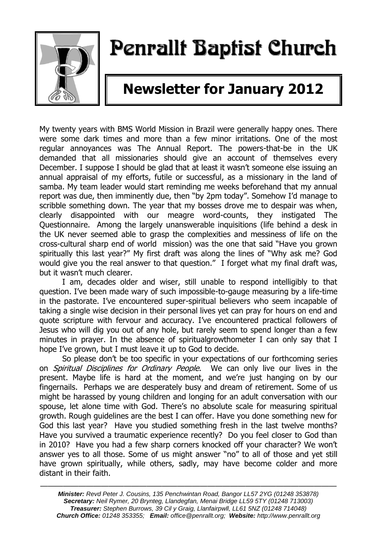

# Penrallt Baptist Church

## **Newsletter for January 2012**

My twenty years with BMS World Mission in Brazil were generally happy ones. There were some dark times and more than a few minor irritations. One of the most regular annoyances was The Annual Report. The powers-that-be in the UK demanded that all missionaries should give an account of themselves every December. I suppose I should be glad that at least it wasn't someone else issuing an annual appraisal of my efforts, futile or successful, as a missionary in the land of samba. My team leader would start reminding me weeks beforehand that my annual report was due, then imminently due, then "by 2pm today". Somehow I'd manage to scribble something down. The year that my bosses drove me to despair was when, clearly disappointed with our meagre word-counts, they instigated The Questionnaire. Among the largely unanswerable inquisitions (life behind a desk in the UK never seemed able to grasp the complexities and messiness of life on the cross-cultural sharp end of world mission) was the one that said "Have you grown spiritually this last year?" My first draft was along the lines of "Why ask me? God would give you the real answer to that question." I forget what my final draft was, but it wasn't much clearer.

I am, decades older and wiser, still unable to respond intelligibly to that question. I've been made wary of such impossible-to-gauge measuring by a life-time in the pastorate. I've encountered super-spiritual believers who seem incapable of taking a single wise decision in their personal lives yet can pray for hours on end and quote scripture with fervour and accuracy. I've encountered practical followers of Jesus who will dig you out of any hole, but rarely seem to spend longer than a few minutes in prayer. In the absence of spiritualgrowthometer I can only say that I hope I've grown, but I must leave it up to God to decide.

So please don't be too specific in your expectations of our forthcoming series on *Spiritual Disciplines for Ordinary People*. We can only live our lives in the present. Maybe life is hard at the moment, and we're just hanging on by our fingernails. Perhaps we are desperately busy and dream of retirement. Some of us might be harassed by young children and longing for an adult conversation with our spouse, let alone time with God. There's no absolute scale for measuring spiritual growth. Rough guidelines are the best I can offer. Have you done something new for God this last year? Have you studied something fresh in the last twelve months? Have you survived a traumatic experience recently? Do you feel closer to God than in 2010? Have you had a few sharp corners knocked off your character? We won't answer yes to all those. Some of us might answer "no" to all of those and yet still have grown spiritually, while others, sadly, may have become colder and more distant in their faith.

———————————————————————————————————————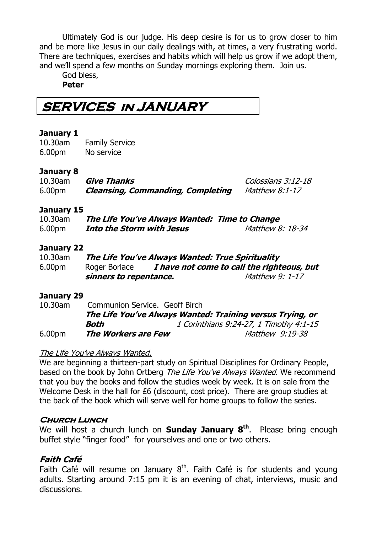Ultimately God is our judge. His deep desire is for us to grow closer to him and be more like Jesus in our daily dealings with, at times, a very frustrating world. There are techniques, exercises and habits which will help us grow if we adopt them, and we'll spend a few months on Sunday mornings exploring them. Join us.

God bless, **Peter**

**SERVICES in JANUARY** 

#### **January 1**

10.30am Family Service 6.00pm No service

#### **January 8**

| 10.30am            | <b>Give Thanks</b>                       | Colossians 3:12-18    |
|--------------------|------------------------------------------|-----------------------|
| 6.00 <sub>pm</sub> | <b>Cleansing, Commanding, Completing</b> | <i>Matthew 8:1-17</i> |

#### **January 15**

| 10.30am | The Life You've Always Wanted: Time to Change |                  |
|---------|-----------------------------------------------|------------------|
| 6.00pm  | Into the Storm with Jesus                     | Matthew 8: 18-34 |

#### **January 22**

| 10.30am            | The Life You've Always Wanted: True Spirituality |                                            |  |
|--------------------|--------------------------------------------------|--------------------------------------------|--|
| 6.00 <sub>pm</sub> | Roger Borlace                                    | I have not come to call the righteous, but |  |
|                    | sinners to repentance.                           | <i>Matthew 9: 1-17</i>                     |  |

#### **January 29**

| 10.30am            | Communion Service. Geoff Birch |                                                           |
|--------------------|--------------------------------|-----------------------------------------------------------|
|                    |                                | The Life You've Always Wanted: Training versus Trying, or |
|                    | Both                           | 1 Corinthians 9:24-27, 1 Timothy 4:1-15                   |
| 6.00 <sub>pm</sub> | <b>The Workers are Few</b>     | Matthew 9:19-38                                           |

#### The Life You've Always Wanted.

We are beginning a thirteen-part study on Spiritual Disciplines for Ordinary People, based on the book by John Ortberg The Life You've Always Wanted. We recommend that you buy the books and follow the studies week by week. It is on sale from the Welcome Desk in the hall for £6 (discount, cost price). There are group studies at the back of the book which will serve well for home groups to follow the series.

#### **Church Lunch**

We will host a church lunch on **Sunday January 8th**. Please bring enough buffet style "finger food" for yourselves and one or two others.

#### **Faith Café**

Faith Café will resume on January  $8<sup>th</sup>$ . Faith Café is for students and young adults. Starting around 7:15 pm it is an evening of chat, interviews, music and discussions.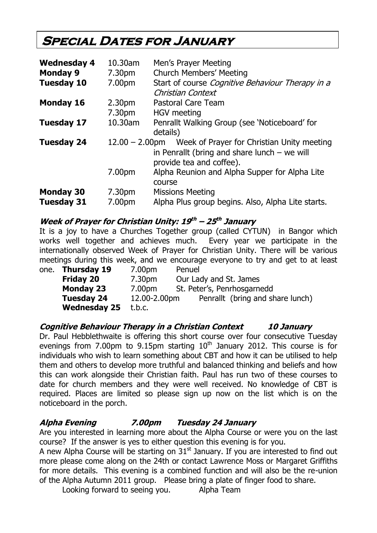### **Special Dates for January**

| <b>Wednesday 4</b> | 10.30am            | Men's Prayer Meeting                                                                                                     |  |
|--------------------|--------------------|--------------------------------------------------------------------------------------------------------------------------|--|
| <b>Monday 9</b>    | 7.30pm             | <b>Church Members' Meeting</b>                                                                                           |  |
| <b>Tuesday 10</b>  | 7.00pm             | Start of course Cognitive Behaviour Therapy in a<br>Christian Context                                                    |  |
| <b>Monday 16</b>   | 2.30 <sub>pm</sub> | <b>Pastoral Care Team</b>                                                                                                |  |
|                    | 7.30pm             | <b>HGV</b> meeting                                                                                                       |  |
| <b>Tuesday 17</b>  | 10.30am            | Penrallt Walking Group (see 'Noticeboard' for<br>details)                                                                |  |
| <b>Tuesday 24</b>  | $12.00 - 2.00$ pm  | Week of Prayer for Christian Unity meeting<br>in Penrallt (bring and share lunch $-$ we will<br>provide tea and coffee). |  |
|                    | 7.00pm             | Alpha Reunion and Alpha Supper for Alpha Lite<br>course                                                                  |  |
| <b>Monday 30</b>   | 7.30pm             | <b>Missions Meeting</b>                                                                                                  |  |
| <b>Tuesday 31</b>  | 7.00pm             | Alpha Plus group begins. Also, Alpha Lite starts.                                                                        |  |

#### **Week of Prayer for Christian Unity: 19 th – 25 th January**

It is a joy to have a Churches Together group (called CYTUN) in Bangor which works well together and achieves much. Every year we participate in the internationally observed Week of Prayer for Christian Unity. There will be various meetings during this week, and we encourage everyone to try and get to at least

| one. Thursday 19    | 7.00pm             | Penuel                           |
|---------------------|--------------------|----------------------------------|
| <b>Friday 20</b>    | 7.30 <sub>pm</sub> | Our Lady and St. James           |
| <b>Monday 23</b>    | 7.00pm             | St. Peter's, Penrhosgarnedd      |
| <b>Tuesday 24</b>   | 12.00-2.00pm       | Penrallt (bring and share lunch) |
| <b>Wednesday 25</b> | t.b.c.             |                                  |

#### **Cognitive Behaviour Therapy in a Christian Context 10 January**

Dr. Paul Hebblethwaite is offering this short course over four consecutive Tuesday evenings from 7.00pm to 9.15pm starting  $10<sup>th</sup>$  January 2012. This course is for individuals who wish to learn something about CBT and how it can be utilised to help them and others to develop more truthful and balanced thinking and beliefs and how this can work alongside their Christian faith. Paul has run two of these courses to date for church members and they were well received. No knowledge of CBT is required. Places are limited so please sign up now on the list which is on the noticeboard in the porch.

#### **Alpha Evening 7.00pm Tuesday 24 January**

Are you interested in learning more about the Alpha Course or were you on the last course? If the answer is yes to either question this evening is for you.

A new Alpha Course will be starting on 31<sup>st</sup> January. If you are interested to find out more please come along on the 24th or contact Lawrence Moss or Margaret Griffiths for more details. This evening is a combined function and will also be the re-union of the Alpha Autumn 2011 group. Please bring a plate of finger food to share.

Looking forward to seeing you. Alpha Team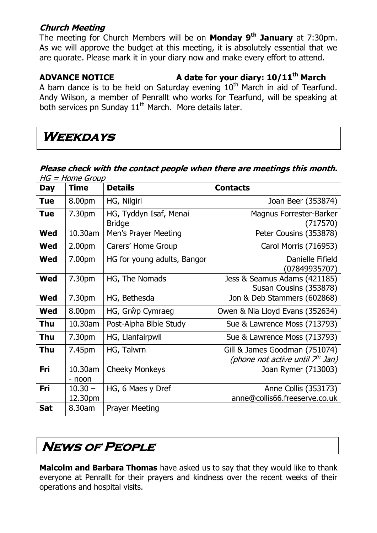#### **Church Meeting**

The meeting for Church Members will be on **Monday 9th January** at 7:30pm. As we will approve the budget at this meeting, it is absolutely essential that we are quorate. Please mark it in your diary now and make every effort to attend.

**ADVANCE NOTICE A date for your diary: 10/11th March**

A barn dance is to be held on Saturday evening  $10<sup>th</sup>$  March in aid of Tearfund. Andy Wilson, a member of Penrallt who works for Tearfund, will be speaking at both services pn Sunday 11<sup>th</sup> March. More details later.

### **Weekdays**

#### **Please check with the contact people when there are meetings this month.**   $HG = Home$  Group

| <b>Day</b> | <b>Time</b>          | <b>Details</b>                          | <b>Contacts</b>                                                   |
|------------|----------------------|-----------------------------------------|-------------------------------------------------------------------|
| <b>Tue</b> | 8.00pm               | HG, Nilgiri                             | Joan Beer (353874)                                                |
| <b>Tue</b> | 7.30pm               | HG, Tyddyn Isaf, Menai<br><b>Bridge</b> | Magnus Forrester-Barker<br>(717570)                               |
| <b>Wed</b> | 10.30am              | Men's Prayer Meeting                    | Peter Cousins (353878)                                            |
| Wed        | 2.00 <sub>pm</sub>   | Carers' Home Group                      | Carol Morris (716953)                                             |
| Wed        | 7.00pm               | HG for young adults, Bangor             | Danielle Fifield<br>(07849935707)                                 |
| Wed        | 7.30pm               | HG, The Nomads                          | Jess & Seamus Adams (421185)<br>Susan Cousins (353878)            |
| <b>Wed</b> | 7.30pm               | HG, Bethesda                            | Jon & Deb Stammers (602868)                                       |
| Wed        | 8.00pm               | HG, Grŵp Cymraeg                        | Owen & Nia Lloyd Evans (352634)                                   |
| Thu        | 10.30am              | Post-Alpha Bible Study                  | Sue & Lawrence Moss (713793)                                      |
| <b>Thu</b> | 7.30pm               | HG, Llanfairpwll                        | Sue & Lawrence Moss (713793)                                      |
| Thu        | 7.45pm               | HG, Talwrn                              | Gill & James Goodman (751074)<br>(phone not active until 7th Jan) |
| Fri        | 10.30am<br>- noon    | <b>Cheeky Monkeys</b>                   | Joan Rymer (713003)                                               |
| Fri        | $10.30 -$<br>12.30pm | HG, 6 Maes y Dref                       | Anne Collis (353173)<br>anne@collis66.freeserve.co.uk             |
| <b>Sat</b> | 8.30am               | <b>Prayer Meeting</b>                   |                                                                   |

### **News of People**

**Malcolm and Barbara Thomas** have asked us to say that they would like to thank everyone at Penrallt for their prayers and kindness over the recent weeks of their operations and hospital visits.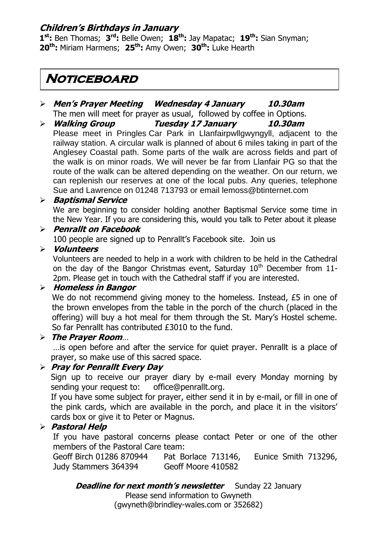#### **Children's Birthdays in January**

**1 st:** Ben Thomas; **3 rd:** Belle Owen; **18th:** Jay Mapatac; **19th:** Sian Snyman; **20th:** Miriam Harmens; **25th:** Amy Owen; **30th:** Luke Hearth

### **Noticeboard**

- **Men's Prayer Meeting Wednesday 4 January 10.30am** The men will meet for prayer as usual, followed by coffee in Options.
- **Walking Group Tuesday 17 January 10.30am** Please meet in Pringles Car Park in Llanfairpwllgwyngyll, adjacent to the railway station. A circular walk is planned of about 6 miles taking in part of the Anglesey Coastal path. Some parts of the walk are across fields and part of the walk is on minor roads. We will never be far from Llanfair PG so that the route of the walk can be altered depending on the weather. On our return, we can replenish our reserves at one of the local pubs. Any queries, telephone Sue and Lawrence on 01248 713793 or email [lemoss@btinternet.com](mailto:lemoss@btinternet.com)

#### **Baptismal Service**

We are beginning to consider holding another Baptismal Service some time in the New Year. If you are considering this, would you talk to Peter about it please

#### **Penrallt on Facebook**

100 people are signed up to Penrallt's Facebook site. Join us

#### **Volunteers**

Volunteers are needed to help in a work with children to be held in the Cathedral on the day of the Bangor Christmas event, Saturday  $10<sup>th</sup>$  December from 11-2pm. Please get in touch with the Cathedral staff if you are interested.

#### **Homeless in Bangor**

We do not recommend giving money to the homeless. Instead, £5 in one of the brown envelopes from the table in the porch of the church (placed in the offering) will buy a hot meal for them through the St. Mary's Hostel scheme. So far Penrallt has contributed £3010 to the fund.

#### **The Prayer Room**…

…is open before and after the service for quiet prayer. Penrallt is a place of prayer, so make use of this sacred space.

#### **Pray for Penrallt Every Day**

Sign up to receive our prayer diary by e-mail every Monday morning by sending your request to: [office@penrallt.org.](mailto:office@penrallt.org)

If you have some subject for prayer, either send it in by e-mail, or fill in one of the pink cards, which are available in the porch, and place it in the visitors' cards box or give it to Peter or Magnus.

#### **Pastoral Help**

If you have pastoral concerns please contact Peter or one of the other members of the Pastoral Care team:

Geoff Birch 01286 870944 Pat Borlace 713146, Eunice Smith 713296, Judy Stammers 364394 Geoff Moore 410582

#### *Deadline for next month's newsletter* Sunday 22 January

Please send information to Gwyneth

[\(gwyneth@brindley-wales.com](mailto:gwyneth@brindley-wales.com) or 352682)